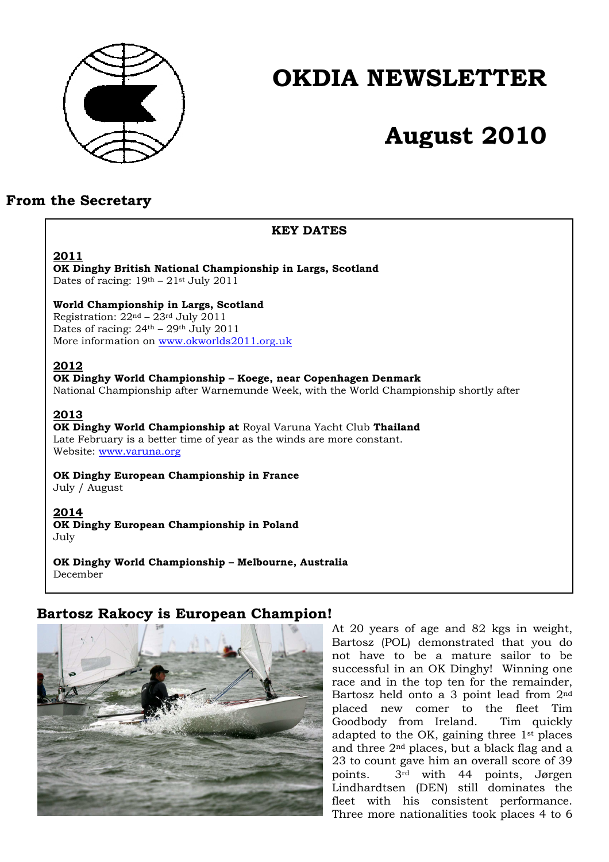

## **OKDIA NEWSLETTER**

# **August 2010**

## **From the Secretary**

## **KEY DATES**

## **2011**

**OK Dinghy British National Championship in Largs, Scotland**  Dates of racing:  $19<sup>th</sup> - 21<sup>st</sup>$  July 2011

## **World Championship in Largs, Scotland**

Registration:  $22<sup>nd</sup> - 23<sup>rd</sup>$  July 2011 Dates of racing:  $24<sup>th</sup> - 29<sup>th</sup>$  July 2011 More information on www.okworlds2011.org.uk

## **2012**

**OK Dinghy World Championship – Koege, near Copenhagen Denmark** 

National Championship after Warnemunde Week, with the World Championship shortly after

## **2013**

**OK Dinghy World Championship at** Royal Varuna Yacht Club **Thailand**  Late February is a better time of year as the winds are more constant. Website: www.varuna.org

**OK Dinghy European Championship in France** 

July / August

## **2014**

**OK Dinghy European Championship in Poland**  July

**OK Dinghy World Championship – Melbourne, Australia** December

## **Bartosz Rakocy is European Champion!**



At 20 years of age and 82 kgs in weight, Bartosz (POL) demonstrated that you do not have to be a mature sailor to be successful in an OK Dinghy! Winning one race and in the top ten for the remainder, Bartosz held onto a 3 point lead from 2nd placed new comer to the fleet Tim Goodbody from Ireland. Tim quickly adapted to the OK, gaining three 1st places and three 2nd places, but a black flag and a 23 to count gave him an overall score of 39 points. 3rd with 44 points, Jørgen Lindhardtsen (DEN) still dominates the fleet with his consistent performance. Three more nationalities took places 4 to 6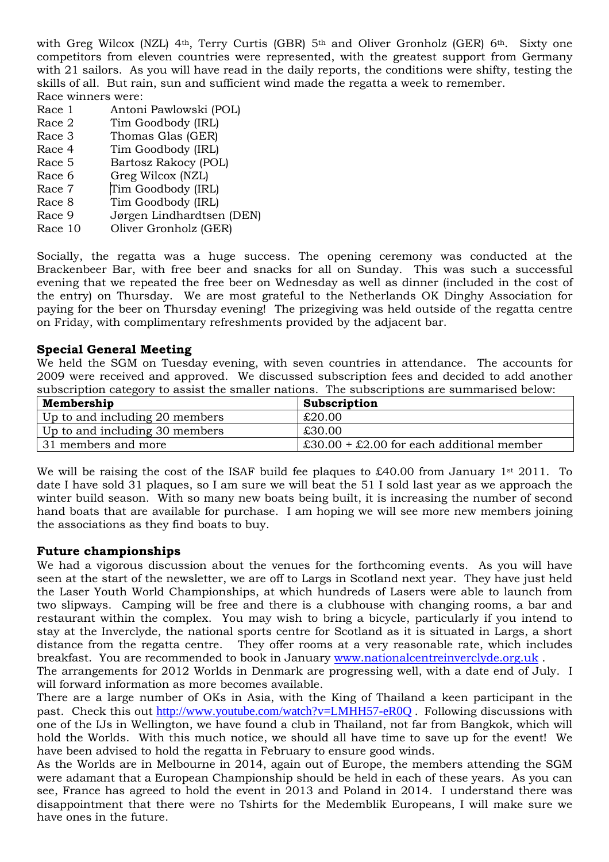with Greg Wilcox (NZL) 4<sup>th</sup>, Terry Curtis (GBR) 5<sup>th</sup> and Oliver Gronholz (GER) 6<sup>th</sup>. Sixty one competitors from eleven countries were represented, with the greatest support from Germany with 21 sailors. As you will have read in the daily reports, the conditions were shifty, testing the skills of all. But rain, sun and sufficient wind made the regatta a week to remember. Race winners were:

- Race 1 Antoni Pawlowski (POL)
- Race 2 Tim Goodbody (IRL)
- Race 3 Thomas Glas (GER)
- Race 4 Tim Goodbody (IRL)
- Race 5 Bartosz Rakocy (POL)
- Race 6 Greg Wilcox (NZL)
- Race 7 Tim Goodbody (IRL)
- Race 8 Tim Goodbody (IRL)
- Race 9 Jørgen Lindhardtsen (DEN)
- Race 10 Oliver Gronholz (GER)

Socially, the regatta was a huge success. The opening ceremony was conducted at the Brackenbeer Bar, with free beer and snacks for all on Sunday. This was such a successful evening that we repeated the free beer on Wednesday as well as dinner (included in the cost of the entry) on Thursday. We are most grateful to the Netherlands OK Dinghy Association for paying for the beer on Thursday evening! The prizegiving was held outside of the regatta centre on Friday, with complimentary refreshments provided by the adjacent bar.

## **Special General Meeting**

We held the SGM on Tuesday evening, with seven countries in attendance. The accounts for 2009 were received and approved. We discussed subscription fees and decided to add another subscription category to assist the smaller nations. The subscriptions are summarised below:

| Membership                     | Subscription                                                          |
|--------------------------------|-----------------------------------------------------------------------|
| Up to and including 20 members | £20.00                                                                |
| Up to and including 30 members | £30.00                                                                |
| 31 members and more            | $\text{\pounds}30.00 + \text{\pounds}2.00$ for each additional member |

We will be raising the cost of the ISAF build fee plaques to  $\pounds 40.00$  from January 1<sup>st</sup> 2011. To date I have sold 31 plaques, so I am sure we will beat the 51 I sold last year as we approach the winter build season. With so many new boats being built, it is increasing the number of second hand boats that are available for purchase. I am hoping we will see more new members joining the associations as they find boats to buy.

## **Future championships**

We had a vigorous discussion about the venues for the forthcoming events. As you will have seen at the start of the newsletter, we are off to Largs in Scotland next year. They have just held the Laser Youth World Championships, at which hundreds of Lasers were able to launch from two slipways. Camping will be free and there is a clubhouse with changing rooms, a bar and restaurant within the complex. You may wish to bring a bicycle, particularly if you intend to stay at the Inverclyde, the national sports centre for Scotland as it is situated in Largs, a short distance from the regatta centre. They offer rooms at a very reasonable rate, which includes breakfast. You are recommended to book in January www.nationalcentreinverclyde.org.uk .

The arrangements for 2012 Worlds in Denmark are progressing well, with a date end of July. I will forward information as more becomes available.

There are a large number of OKs in Asia, with the King of Thailand a keen participant in the past. Check this out http://www.youtube.com/watch?v=LMHH57-eR0Q . Following discussions with one of the IJs in Wellington, we have found a club in Thailand, not far from Bangkok, which will hold the Worlds. With this much notice, we should all have time to save up for the event! We have been advised to hold the regatta in February to ensure good winds.

As the Worlds are in Melbourne in 2014, again out of Europe, the members attending the SGM were adamant that a European Championship should be held in each of these years. As you can see, France has agreed to hold the event in 2013 and Poland in 2014. I understand there was disappointment that there were no Tshirts for the Medemblik Europeans, I will make sure we have ones in the future.